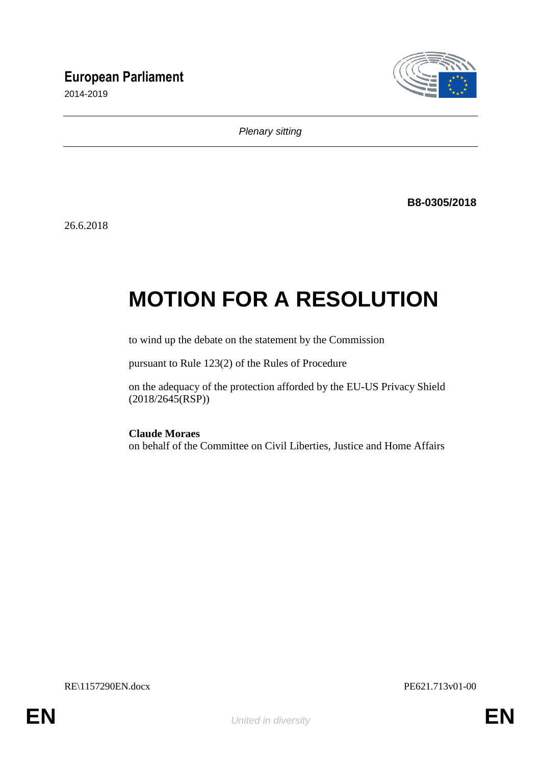# **European Parliament**

2014-2019



*Plenary sitting*

**B8-0305/2018**

26.6.2018

# **MOTION FOR A RESOLUTION**

to wind up the debate on the statement by the Commission

pursuant to Rule 123(2) of the Rules of Procedure

on the adequacy of the protection afforded by the EU-US Privacy Shield (2018/2645(RSP))

**Claude Moraes**

on behalf of the Committee on Civil Liberties, Justice and Home Affairs

RE\1157290EN.docx PE621.713v01-00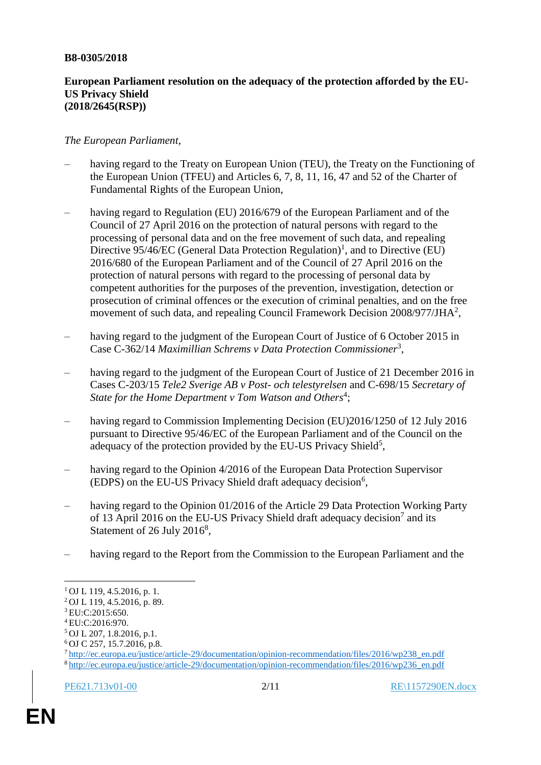### **B8-0305/2018**

# **European Parliament resolution on the adequacy of the protection afforded by the EU-US Privacy Shield (2018/2645(RSP))**

# *The European Parliament*,

- having regard to the Treaty on European Union (TEU), the Treaty on the Functioning of the European Union (TFEU) and Articles 6, 7, 8, 11, 16, 47 and 52 of the Charter of Fundamental Rights of the European Union,
- having regard to Regulation (EU) 2016/679 of the European Parliament and of the Council of 27 April 2016 on the protection of natural persons with regard to the processing of personal data and on the free movement of such data, and repealing Directive  $95/46/EC$  (General Data Protection Regulation)<sup>1</sup>, and to Directive (EU) 2016/680 of the European Parliament and of the Council of 27 April 2016 on the protection of natural persons with regard to the processing of personal data by competent authorities for the purposes of the prevention, investigation, detection or prosecution of criminal offences or the execution of criminal penalties, and on the free movement of such data, and repealing Council Framework Decision  $2008/977$ /JHA<sup>2</sup>,
- having regard to the judgment of the European Court of Justice of 6 October 2015 in Case C-362/14 *Maximillian Schrems v Data Protection Commissioner*<sup>3</sup> ,
- having regard to the judgment of the European Court of Justice of 21 December 2016 in Cases C-203/15 *Tele2 Sverige AB v Post- och telestyrelsen* and C-698/15 *Secretary of*  State for the Home Department v Tom Watson and Others<sup>4</sup>;
- having regard to Commission Implementing Decision (EU)2016/1250 of 12 July 2016 pursuant to Directive 95/46/EC of the European Parliament and of the Council on the adequacy of the protection provided by the EU-US Privacy Shield<sup>5</sup>,
- having regard to the Opinion 4/2016 of the European Data Protection Supervisor (EDPS) on the EU-US Privacy Shield draft adequacy decision<sup>6</sup>,
- having regard to the Opinion 01/2016 of the Article 29 Data Protection Working Party of 13 April 2016 on the EU-US Privacy Shield draft adequacy decision<sup>7</sup> and its Statement of 26 July  $2016^8$ ,
- having regard to the Report from the Commission to the European Parliament and the

 $\overline{a}$ 

 $1$  OJ L 119, 4.5.2016, p. 1.

<sup>2</sup> OJ L 119, 4.5.2016, p. 89.

<sup>3</sup> EU:C:2015:650.

<sup>4</sup> EU:C:2016:970.

<sup>5</sup> OJ L 207, 1.8.2016, p.1.

<sup>6</sup> OJ C 257, 15.7.2016, p.8.

<sup>7</sup> [http://ec.europa.eu/justice/article-29/documentation/opinion-recommendation/files/2016/wp238\\_en.pdf](http://ec.europa.eu/justice/article-29/documentation/opinion-recommendation/files/2016/wp238_en.pdf) <sup>8</sup> [http://ec.europa.eu/justice/article-29/documentation/opinion-recommendation/files/2016/wp236\\_en.pdf](http://ec.europa.eu/justice/article-29/documentation/opinion-recommendation/files/2016/wp236_en.pdf)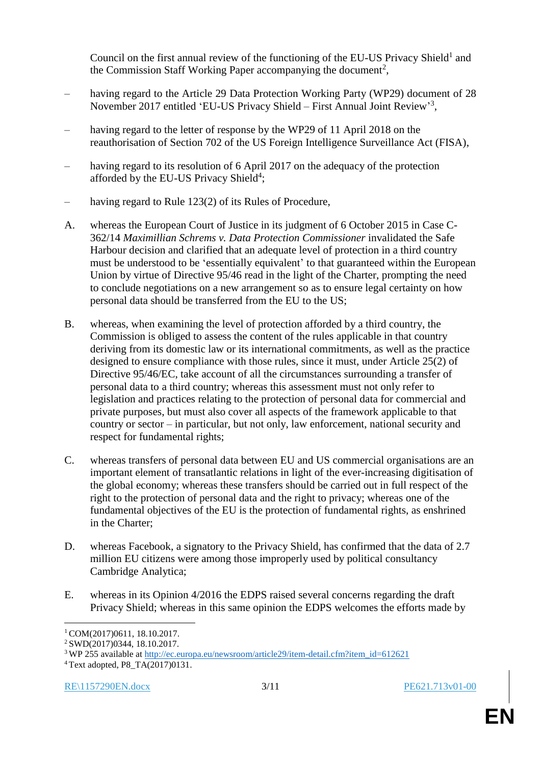Council on the first annual review of the functioning of the EU-US Privacy Shield<sup>1</sup> and the Commission Staff Working Paper accompanying the document<sup>2</sup>,

- having regard to the Article 29 Data Protection Working Party (WP29) document of 28 November 2017 entitled 'EU-US Privacy Shield - First Annual Joint Review'<sup>3</sup>,
- having regard to the letter of response by the WP29 of 11 April 2018 on the reauthorisation of Section 702 of the US Foreign Intelligence Surveillance Act (FISA),
- having regard to its resolution of 6 April 2017 on the adequacy of the protection afforded by the EU-US Privacy Shield<sup>4</sup>;
- having regard to Rule 123(2) of its Rules of Procedure,
- A. whereas the European Court of Justice in its judgment of 6 October 2015 in Case C-362/14 *Maximillian Schrems v. Data Protection Commissioner* invalidated the Safe Harbour decision and clarified that an adequate level of protection in a third country must be understood to be 'essentially equivalent' to that guaranteed within the European Union by virtue of Directive 95/46 read in the light of the Charter, prompting the need to conclude negotiations on a new arrangement so as to ensure legal certainty on how personal data should be transferred from the EU to the US;
- B. whereas, when examining the level of protection afforded by a third country, the Commission is obliged to assess the content of the rules applicable in that country deriving from its domestic law or its international commitments, as well as the practice designed to ensure compliance with those rules, since it must, under Article 25(2) of Directive 95/46/EC, take account of all the circumstances surrounding a transfer of personal data to a third country; whereas this assessment must not only refer to legislation and practices relating to the protection of personal data for commercial and private purposes, but must also cover all aspects of the framework applicable to that country or sector – in particular, but not only, law enforcement, national security and respect for fundamental rights;
- C. whereas transfers of personal data between EU and US commercial organisations are an important element of transatlantic relations in light of the ever-increasing digitisation of the global economy; whereas these transfers should be carried out in full respect of the right to the protection of personal data and the right to privacy; whereas one of the fundamental objectives of the EU is the protection of fundamental rights, as enshrined in the Charter;
- D. whereas Facebook, a signatory to the Privacy Shield, has confirmed that the data of 2.7 million EU citizens were among those improperly used by political consultancy Cambridge Analytica;
- E. whereas in its Opinion 4/2016 the EDPS raised several concerns regarding the draft Privacy Shield; whereas in this same opinion the EDPS welcomes the efforts made by

 $\overline{a}$ 

<sup>1</sup> COM(2017)0611, 18.10.2017.

<sup>2</sup> SWD(2017)0344, 18.10.2017.

<sup>3</sup> WP 255 available at [http://ec.europa.eu/newsroom/article29/item-detail.cfm?item\\_id=612621](http://ec.europa.eu/newsroom/article29/item-detail.cfm?item_id=612621)

 $4$  Text adopted, P8\_TA(2017)0131.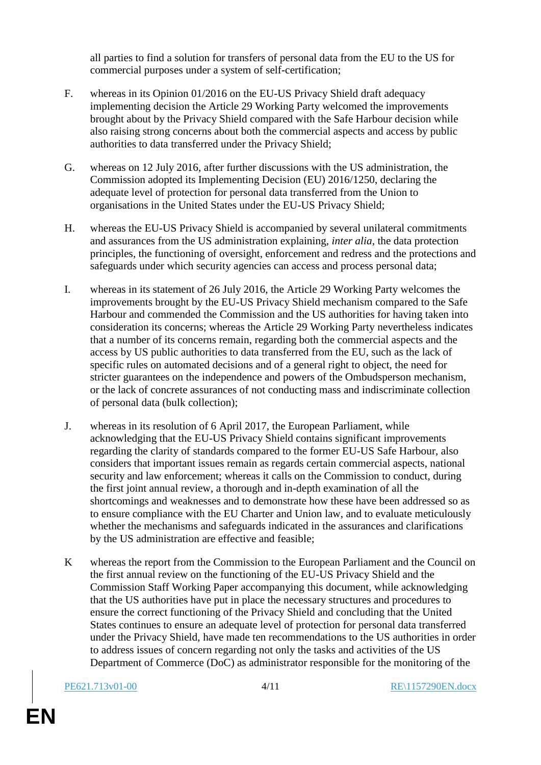all parties to find a solution for transfers of personal data from the EU to the US for commercial purposes under a system of self-certification;

- F. whereas in its Opinion 01/2016 on the EU-US Privacy Shield draft adequacy implementing decision the Article 29 Working Party welcomed the improvements brought about by the Privacy Shield compared with the Safe Harbour decision while also raising strong concerns about both the commercial aspects and access by public authorities to data transferred under the Privacy Shield;
- G. whereas on 12 July 2016, after further discussions with the US administration, the Commission adopted its Implementing Decision (EU) 2016/1250, declaring the adequate level of protection for personal data transferred from the Union to organisations in the United States under the EU-US Privacy Shield;
- H. whereas the EU-US Privacy Shield is accompanied by several unilateral commitments and assurances from the US administration explaining, *inter alia*, the data protection principles, the functioning of oversight, enforcement and redress and the protections and safeguards under which security agencies can access and process personal data;
- I. whereas in its statement of 26 July 2016, the Article 29 Working Party welcomes the improvements brought by the EU-US Privacy Shield mechanism compared to the Safe Harbour and commended the Commission and the US authorities for having taken into consideration its concerns; whereas the Article 29 Working Party nevertheless indicates that a number of its concerns remain, regarding both the commercial aspects and the access by US public authorities to data transferred from the EU, such as the lack of specific rules on automated decisions and of a general right to object, the need for stricter guarantees on the independence and powers of the Ombudsperson mechanism, or the lack of concrete assurances of not conducting mass and indiscriminate collection of personal data (bulk collection);
- J. whereas in its resolution of 6 April 2017, the European Parliament, while acknowledging that the EU-US Privacy Shield contains significant improvements regarding the clarity of standards compared to the former EU-US Safe Harbour, also considers that important issues remain as regards certain commercial aspects, national security and law enforcement; whereas it calls on the Commission to conduct, during the first joint annual review, a thorough and in-depth examination of all the shortcomings and weaknesses and to demonstrate how these have been addressed so as to ensure compliance with the EU Charter and Union law, and to evaluate meticulously whether the mechanisms and safeguards indicated in the assurances and clarifications by the US administration are effective and feasible;
- K whereas the report from the Commission to the European Parliament and the Council on the first annual review on the functioning of the EU-US Privacy Shield and the Commission Staff Working Paper accompanying this document, while acknowledging that the US authorities have put in place the necessary structures and procedures to ensure the correct functioning of the Privacy Shield and concluding that the United States continues to ensure an adequate level of protection for personal data transferred under the Privacy Shield, have made ten recommendations to the US authorities in order to address issues of concern regarding not only the tasks and activities of the US Department of Commerce (DoC) as administrator responsible for the monitoring of the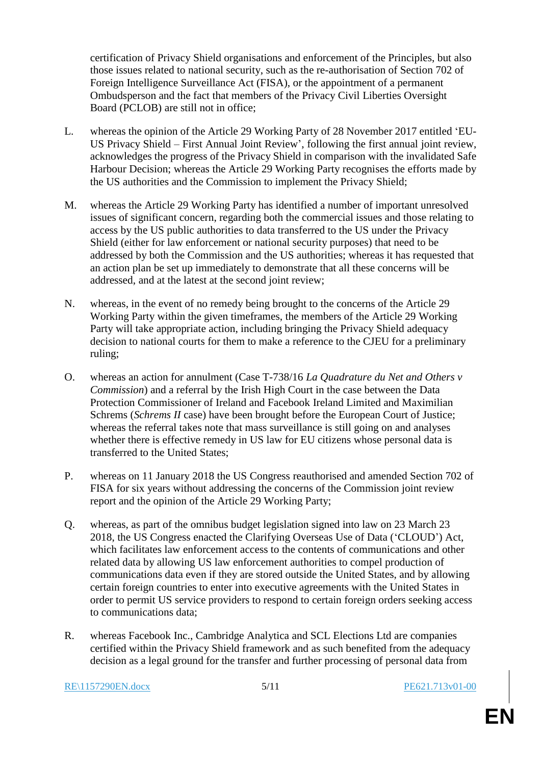certification of Privacy Shield organisations and enforcement of the Principles, but also those issues related to national security, such as the re-authorisation of Section 702 of Foreign Intelligence Surveillance Act (FISA), or the appointment of a permanent Ombudsperson and the fact that members of the Privacy Civil Liberties Oversight Board (PCLOB) are still not in office;

- L. whereas the opinion of the Article 29 Working Party of 28 November 2017 entitled 'EU-US Privacy Shield – First Annual Joint Review', following the first annual joint review, acknowledges the progress of the Privacy Shield in comparison with the invalidated Safe Harbour Decision; whereas the Article 29 Working Party recognises the efforts made by the US authorities and the Commission to implement the Privacy Shield;
- M. whereas the Article 29 Working Party has identified a number of important unresolved issues of significant concern, regarding both the commercial issues and those relating to access by the US public authorities to data transferred to the US under the Privacy Shield (either for law enforcement or national security purposes) that need to be addressed by both the Commission and the US authorities; whereas it has requested that an action plan be set up immediately to demonstrate that all these concerns will be addressed, and at the latest at the second joint review;
- N. whereas, in the event of no remedy being brought to the concerns of the Article 29 Working Party within the given timeframes, the members of the Article 29 Working Party will take appropriate action, including bringing the Privacy Shield adequacy decision to national courts for them to make a reference to the CJEU for a preliminary ruling;
- O. whereas an action for annulment (Case T-738/16 *La Quadrature du Net and Others v Commission*) and a referral by the Irish High Court in the case between the Data Protection Commissioner of Ireland and Facebook Ireland Limited and Maximilian Schrems (*Schrems II* case) have been brought before the European Court of Justice; whereas the referral takes note that mass surveillance is still going on and analyses whether there is effective remedy in US law for EU citizens whose personal data is transferred to the United States;
- P. whereas on 11 January 2018 the US Congress reauthorised and amended Section 702 of FISA for six years without addressing the concerns of the Commission joint review report and the opinion of the Article 29 Working Party;
- Q. whereas, as part of the omnibus budget legislation signed into law on 23 March 23 2018, the US Congress enacted the Clarifying Overseas Use of Data ('CLOUD') Act, which facilitates law enforcement access to the contents of communications and other related data by allowing US law enforcement authorities to compel production of communications data even if they are stored outside the United States, and by allowing certain foreign countries to enter into executive agreements with the United States in order to permit US service providers to respond to certain foreign orders seeking access to communications data;
- R. whereas Facebook Inc., Cambridge Analytica and SCL Elections Ltd are companies certified within the Privacy Shield framework and as such benefited from the adequacy decision as a legal ground for the transfer and further processing of personal data from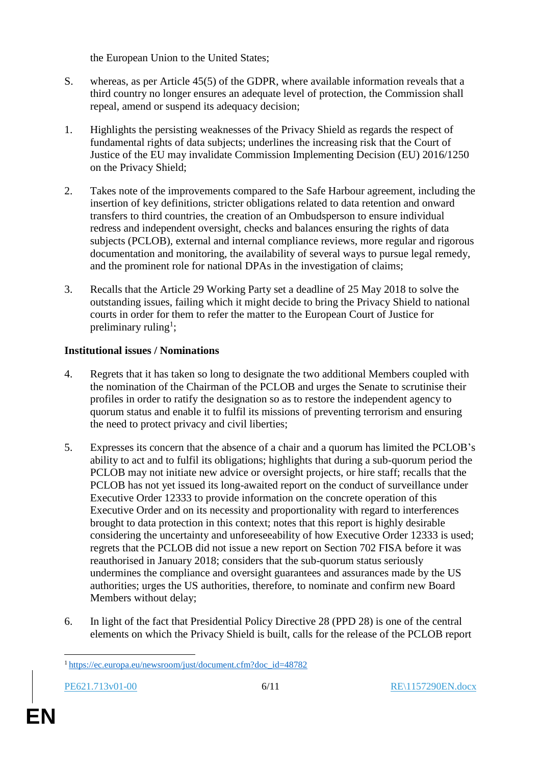the European Union to the United States;

- S. whereas, as per Article 45(5) of the GDPR, where available information reveals that a third country no longer ensures an adequate level of protection, the Commission shall repeal, amend or suspend its adequacy decision;
- 1. Highlights the persisting weaknesses of the Privacy Shield as regards the respect of fundamental rights of data subjects; underlines the increasing risk that the Court of Justice of the EU may invalidate Commission Implementing Decision (EU) 2016/1250 on the Privacy Shield;
- 2. Takes note of the improvements compared to the Safe Harbour agreement, including the insertion of key definitions, stricter obligations related to data retention and onward transfers to third countries, the creation of an Ombudsperson to ensure individual redress and independent oversight, checks and balances ensuring the rights of data subjects (PCLOB), external and internal compliance reviews, more regular and rigorous documentation and monitoring, the availability of several ways to pursue legal remedy, and the prominent role for national DPAs in the investigation of claims;
- 3. Recalls that the Article 29 Working Party set a deadline of 25 May 2018 to solve the outstanding issues, failing which it might decide to bring the Privacy Shield to national courts in order for them to refer the matter to the European Court of Justice for preliminary ruling<sup>1</sup>;

# **Institutional issues / Nominations**

- 4. Regrets that it has taken so long to designate the two additional Members coupled with the nomination of the Chairman of the PCLOB and urges the Senate to scrutinise their profiles in order to ratify the designation so as to restore the independent agency to quorum status and enable it to fulfil its missions of preventing terrorism and ensuring the need to protect privacy and civil liberties;
- 5. Expresses its concern that the absence of a chair and a quorum has limited the PCLOB's ability to act and to fulfil its obligations; highlights that during a sub-quorum period the PCLOB may not initiate new advice or oversight projects, or hire staff; recalls that the PCLOB has not yet issued its long-awaited report on the conduct of surveillance under Executive Order 12333 to provide information on the concrete operation of this Executive Order and on its necessity and proportionality with regard to interferences brought to data protection in this context; notes that this report is highly desirable considering the uncertainty and unforeseeability of how Executive Order 12333 is used; regrets that the PCLOB did not issue a new report on Section 702 FISA before it was reauthorised in January 2018; considers that the sub-quorum status seriously undermines the compliance and oversight guarantees and assurances made by the US authorities; urges the US authorities, therefore, to nominate and confirm new Board Members without delay;
- 6. In light of the fact that Presidential Policy Directive 28 (PPD 28) is one of the central elements on which the Privacy Shield is built, calls for the release of the PCLOB report

 $\overline{a}$ <sup>1</sup> [https://ec.europa.eu/newsroom/just/document.cfm?doc\\_id=48782](https://ec.europa.eu/newsroom/just/document.cfm?doc_id=48782)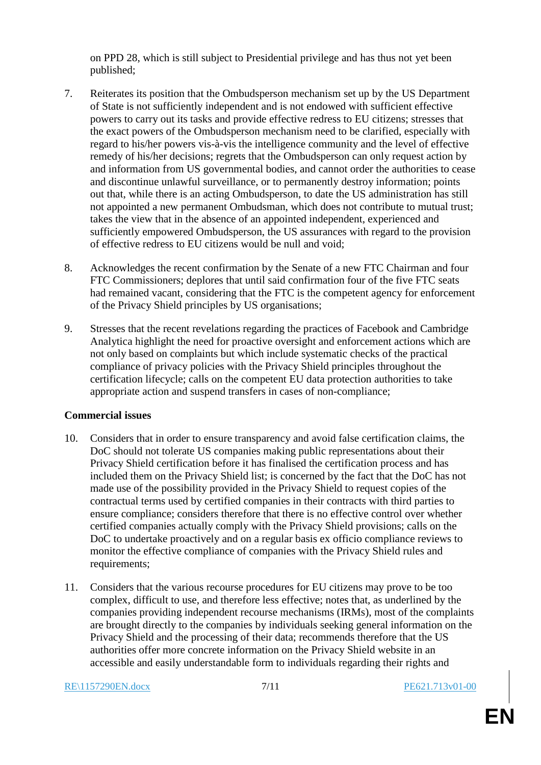on PPD 28, which is still subject to Presidential privilege and has thus not yet been published;

- 7. Reiterates its position that the Ombudsperson mechanism set up by the US Department of State is not sufficiently independent and is not endowed with sufficient effective powers to carry out its tasks and provide effective redress to EU citizens; stresses that the exact powers of the Ombudsperson mechanism need to be clarified, especially with regard to his/her powers vis-à-vis the intelligence community and the level of effective remedy of his/her decisions; regrets that the Ombudsperson can only request action by and information from US governmental bodies, and cannot order the authorities to cease and discontinue unlawful surveillance, or to permanently destroy information; points out that, while there is an acting Ombudsperson, to date the US administration has still not appointed a new permanent Ombudsman, which does not contribute to mutual trust; takes the view that in the absence of an appointed independent, experienced and sufficiently empowered Ombudsperson, the US assurances with regard to the provision of effective redress to EU citizens would be null and void;
- 8. Acknowledges the recent confirmation by the Senate of a new FTC Chairman and four FTC Commissioners; deplores that until said confirmation four of the five FTC seats had remained vacant, considering that the FTC is the competent agency for enforcement of the Privacy Shield principles by US organisations;
- 9. Stresses that the recent revelations regarding the practices of Facebook and Cambridge Analytica highlight the need for proactive oversight and enforcement actions which are not only based on complaints but which include systematic checks of the practical compliance of privacy policies with the Privacy Shield principles throughout the certification lifecycle; calls on the competent EU data protection authorities to take appropriate action and suspend transfers in cases of non-compliance;

# **Commercial issues**

- 10. Considers that in order to ensure transparency and avoid false certification claims, the DoC should not tolerate US companies making public representations about their Privacy Shield certification before it has finalised the certification process and has included them on the Privacy Shield list; is concerned by the fact that the DoC has not made use of the possibility provided in the Privacy Shield to request copies of the contractual terms used by certified companies in their contracts with third parties to ensure compliance; considers therefore that there is no effective control over whether certified companies actually comply with the Privacy Shield provisions; calls on the DoC to undertake proactively and on a regular basis ex officio compliance reviews to monitor the effective compliance of companies with the Privacy Shield rules and requirements;
- 11. Considers that the various recourse procedures for EU citizens may prove to be too complex, difficult to use, and therefore less effective; notes that, as underlined by the companies providing independent recourse mechanisms (IRMs), most of the complaints are brought directly to the companies by individuals seeking general information on the Privacy Shield and the processing of their data; recommends therefore that the US authorities offer more concrete information on the Privacy Shield website in an accessible and easily understandable form to individuals regarding their rights and

#### RE\1157290EN.docx 7/11 PE621.713v01-00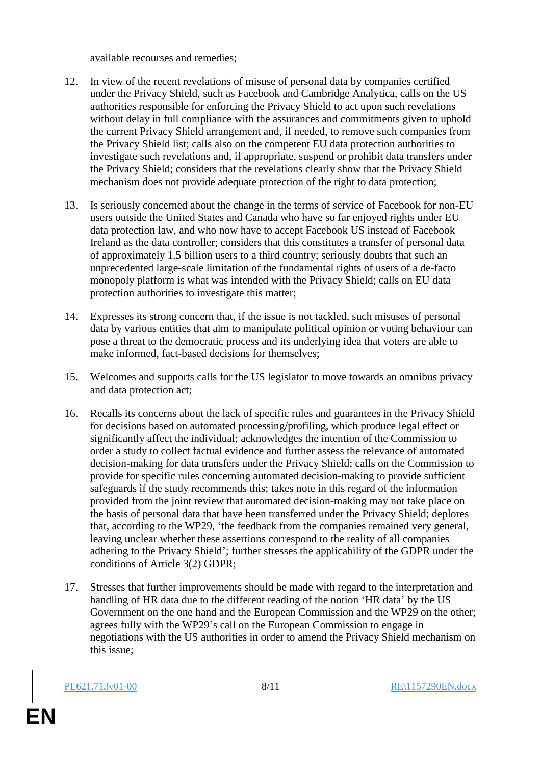available recourses and remedies;

- 12. In view of the recent revelations of misuse of personal data by companies certified under the Privacy Shield, such as Facebook and Cambridge Analytica, calls on the US authorities responsible for enforcing the Privacy Shield to act upon such revelations without delay in full compliance with the assurances and commitments given to uphold the current Privacy Shield arrangement and, if needed, to remove such companies from the Privacy Shield list; calls also on the competent EU data protection authorities to investigate such revelations and, if appropriate, suspend or prohibit data transfers under the Privacy Shield; considers that the revelations clearly show that the Privacy Shield mechanism does not provide adequate protection of the right to data protection;
- 13. Is seriously concerned about the change in the terms of service of Facebook for non-EU users outside the United States and Canada who have so far enjoyed rights under EU data protection law, and who now have to accept Facebook US instead of Facebook Ireland as the data controller; considers that this constitutes a transfer of personal data of approximately 1.5 billion users to a third country; seriously doubts that such an unprecedented large-scale limitation of the fundamental rights of users of a de-facto monopoly platform is what was intended with the Privacy Shield; calls on EU data protection authorities to investigate this matter;
- 14. Expresses its strong concern that, if the issue is not tackled, such misuses of personal data by various entities that aim to manipulate political opinion or voting behaviour can pose a threat to the democratic process and its underlying idea that voters are able to make informed, fact-based decisions for themselves;
- 15. Welcomes and supports calls for the US legislator to move towards an omnibus privacy and data protection act;
- 16. Recalls its concerns about the lack of specific rules and guarantees in the Privacy Shield for decisions based on automated processing/profiling, which produce legal effect or significantly affect the individual; acknowledges the intention of the Commission to order a study to collect factual evidence and further assess the relevance of automated decision-making for data transfers under the Privacy Shield; calls on the Commission to provide for specific rules concerning automated decision-making to provide sufficient safeguards if the study recommends this; takes note in this regard of the information provided from the joint review that automated decision-making may not take place on the basis of personal data that have been transferred under the Privacy Shield; deplores that, according to the WP29, 'the feedback from the companies remained very general, leaving unclear whether these assertions correspond to the reality of all companies adhering to the Privacy Shield'; further stresses the applicability of the GDPR under the conditions of Article 3(2) GDPR;
- 17. Stresses that further improvements should be made with regard to the interpretation and handling of HR data due to the different reading of the notion 'HR data' by the US Government on the one hand and the European Commission and the WP29 on the other; agrees fully with the WP29's call on the European Commission to engage in negotiations with the US authorities in order to amend the Privacy Shield mechanism on this issue;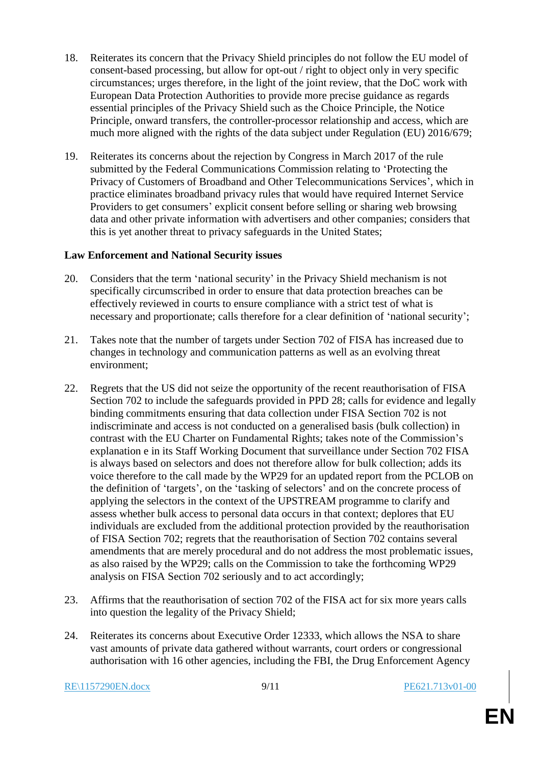- 18. Reiterates its concern that the Privacy Shield principles do not follow the EU model of consent-based processing, but allow for opt-out / right to object only in very specific circumstances; urges therefore, in the light of the joint review, that the DoC work with European Data Protection Authorities to provide more precise guidance as regards essential principles of the Privacy Shield such as the Choice Principle, the Notice Principle, onward transfers, the controller-processor relationship and access, which are much more aligned with the rights of the data subject under Regulation (EU) 2016/679;
- 19. Reiterates its concerns about the rejection by Congress in March 2017 of the rule submitted by the Federal Communications Commission relating to 'Protecting the Privacy of Customers of Broadband and Other Telecommunications Services', which in practice eliminates broadband privacy rules that would have required Internet Service Providers to get consumers' explicit consent before selling or sharing web browsing data and other private information with advertisers and other companies; considers that this is yet another threat to privacy safeguards in the United States;

# **Law Enforcement and National Security issues**

- 20. Considers that the term 'national security' in the Privacy Shield mechanism is not specifically circumscribed in order to ensure that data protection breaches can be effectively reviewed in courts to ensure compliance with a strict test of what is necessary and proportionate; calls therefore for a clear definition of 'national security';
- 21. Takes note that the number of targets under Section 702 of FISA has increased due to changes in technology and communication patterns as well as an evolving threat environment;
- 22. Regrets that the US did not seize the opportunity of the recent reauthorisation of FISA Section 702 to include the safeguards provided in PPD 28; calls for evidence and legally binding commitments ensuring that data collection under FISA Section 702 is not indiscriminate and access is not conducted on a generalised basis (bulk collection) in contrast with the EU Charter on Fundamental Rights; takes note of the Commission's explanation e in its Staff Working Document that surveillance under Section 702 FISA is always based on selectors and does not therefore allow for bulk collection; adds its voice therefore to the call made by the WP29 for an updated report from the PCLOB on the definition of 'targets', on the 'tasking of selectors' and on the concrete process of applying the selectors in the context of the UPSTREAM programme to clarify and assess whether bulk access to personal data occurs in that context; deplores that EU individuals are excluded from the additional protection provided by the reauthorisation of FISA Section 702; regrets that the reauthorisation of Section 702 contains several amendments that are merely procedural and do not address the most problematic issues, as also raised by the WP29; calls on the Commission to take the forthcoming WP29 analysis on FISA Section 702 seriously and to act accordingly;
- 23. Affirms that the reauthorisation of section 702 of the FISA act for six more years calls into question the legality of the Privacy Shield;
- 24. Reiterates its concerns about Executive Order 12333, which allows the NSA to share vast amounts of private data gathered without warrants, court orders or congressional authorisation with 16 other agencies, including the FBI, the Drug Enforcement Agency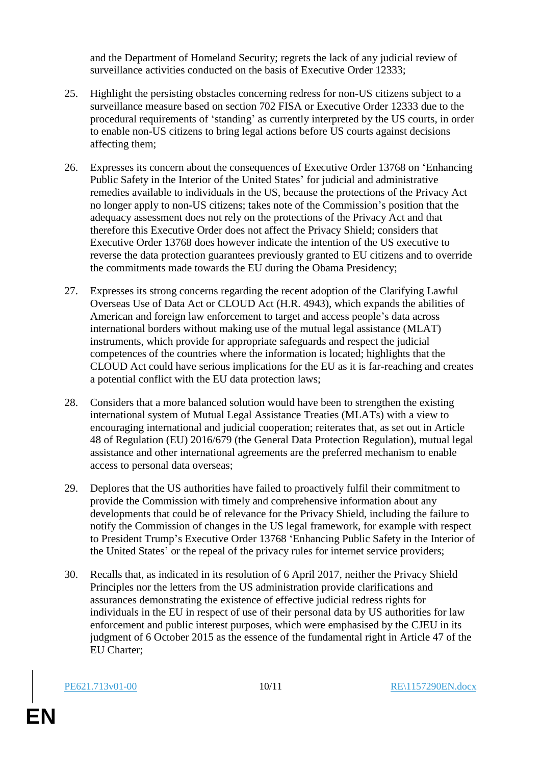and the Department of Homeland Security; regrets the lack of any judicial review of surveillance activities conducted on the basis of Executive Order 12333;

- 25. Highlight the persisting obstacles concerning redress for non-US citizens subject to a surveillance measure based on section 702 FISA or Executive Order 12333 due to the procedural requirements of 'standing' as currently interpreted by the US courts, in order to enable non-US citizens to bring legal actions before US courts against decisions affecting them;
- 26. Expresses its concern about the consequences of Executive Order 13768 on 'Enhancing Public Safety in the Interior of the United States' for judicial and administrative remedies available to individuals in the US, because the protections of the Privacy Act no longer apply to non-US citizens; takes note of the Commission's position that the adequacy assessment does not rely on the protections of the Privacy Act and that therefore this Executive Order does not affect the Privacy Shield; considers that Executive Order 13768 does however indicate the intention of the US executive to reverse the data protection guarantees previously granted to EU citizens and to override the commitments made towards the EU during the Obama Presidency;
- 27. Expresses its strong concerns regarding the recent adoption of the Clarifying Lawful Overseas Use of Data Act or CLOUD Act (H.R. 4943), which expands the abilities of American and foreign law enforcement to target and access people's data across international borders without making use of the mutual legal assistance (MLAT) instruments, which provide for appropriate safeguards and respect the judicial competences of the countries where the information is located; highlights that the CLOUD Act could have serious implications for the EU as it is far-reaching and creates a potential conflict with the EU data protection laws;
- 28. Considers that a more balanced solution would have been to strengthen the existing international system of Mutual Legal Assistance Treaties (MLATs) with a view to encouraging international and judicial cooperation; reiterates that, as set out in Article 48 of Regulation (EU) 2016/679 (the General Data Protection Regulation), mutual legal assistance and other international agreements are the preferred mechanism to enable access to personal data overseas;
- 29. Deplores that the US authorities have failed to proactively fulfil their commitment to provide the Commission with timely and comprehensive information about any developments that could be of relevance for the Privacy Shield, including the failure to notify the Commission of changes in the US legal framework, for example with respect to President Trump's Executive Order 13768 'Enhancing Public Safety in the Interior of the United States' or the repeal of the privacy rules for internet service providers;
- 30. Recalls that, as indicated in its resolution of 6 April 2017, neither the Privacy Shield Principles nor the letters from the US administration provide clarifications and assurances demonstrating the existence of effective judicial redress rights for individuals in the EU in respect of use of their personal data by US authorities for law enforcement and public interest purposes, which were emphasised by the CJEU in its judgment of 6 October 2015 as the essence of the fundamental right in Article 47 of the EU Charter;